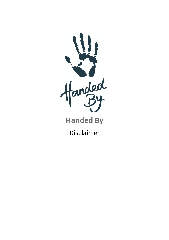

**Handed By**

Disclaimer